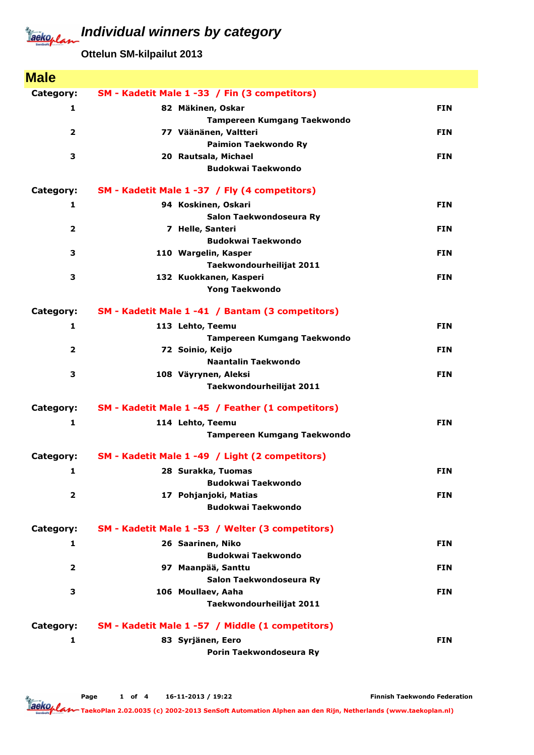## Jackoplan

**Individual winners by category**

**Ottelun SM-kilpailut 2013**

| <b>Male</b>    |                                                   |            |
|----------------|---------------------------------------------------|------------|
| Category:      | SM - Kadetit Male 1 -33 / Fin (3 competitors)     |            |
| 1              | 82 Mäkinen, Oskar                                 | <b>FIN</b> |
|                | <b>Tampereen Kumgang Taekwondo</b>                |            |
| $\overline{2}$ | 77 Väänänen, Valtteri                             | <b>FIN</b> |
|                | <b>Paimion Taekwondo Ry</b>                       |            |
| 3              | 20 Rautsala, Michael                              | <b>FIN</b> |
|                | <b>Budokwai Taekwondo</b>                         |            |
| Category:      | SM - Kadetit Male 1 -37 / Fly (4 competitors)     |            |
| 1              | 94 Koskinen, Oskari                               | <b>FIN</b> |
|                | Salon Taekwondoseura Ry                           |            |
| $\overline{2}$ | 7 Helle, Santeri                                  | <b>FIN</b> |
|                | <b>Budokwai Taekwondo</b>                         |            |
| 3              | 110 Wargelin, Kasper                              | <b>FIN</b> |
|                | Taekwondourheilijat 2011                          |            |
| 3              | 132 Kuokkanen, Kasperi                            | <b>FIN</b> |
|                | <b>Yong Taekwondo</b>                             |            |
| Category:      | SM - Kadetit Male 1 -41 / Bantam (3 competitors)  |            |
| 1              | 113 Lehto, Teemu                                  | <b>FIN</b> |
|                | <b>Tampereen Kumgang Taekwondo</b>                |            |
| $\overline{2}$ | 72 Soinio, Keijo                                  | <b>FIN</b> |
| 3              | Naantalin Taekwondo                               | <b>FIN</b> |
|                | 108 Väyrynen, Aleksi<br>Taekwondourheilijat 2011  |            |
|                |                                                   |            |
| Category:      | SM - Kadetit Male 1 -45 / Feather (1 competitors) |            |
| 1              | 114 Lehto, Teemu                                  | <b>FIN</b> |
|                | Tampereen Kumgang Taekwondo                       |            |
| Category:      | SM - Kadetit Male 1 -49 / Light (2 competitors)   |            |
| 1              | 28 Surakka, Tuomas                                | <b>FIN</b> |
|                | <b>Budokwai Taekwondo</b>                         |            |
| $\overline{2}$ | 17 Pohjanjoki, Matias                             | <b>FIN</b> |
|                | <b>Budokwai Taekwondo</b>                         |            |
| Category:      | SM - Kadetit Male 1 -53 / Welter (3 competitors)  |            |
| $\mathbf{1}$   | 26 Saarinen, Niko                                 | <b>FIN</b> |
|                | <b>Budokwai Taekwondo</b>                         |            |
| $\overline{2}$ | 97 Maanpää, Santtu                                | <b>FIN</b> |
|                | Salon Taekwondoseura Ry                           |            |
| 3              | 106 Moullaev, Aaha                                | <b>FIN</b> |
|                | Taekwondourheilijat 2011                          |            |
| Category:      | SM - Kadetit Male 1 -57 / Middle (1 competitors)  |            |
| $\mathbf{1}$   | 83 Syrjänen, Eero                                 | <b>FIN</b> |
|                | Porin Taekwondoseura Ry                           |            |

Page 1 of 4 16-11-2013 / 19:22

Finnish Taekwondo Federation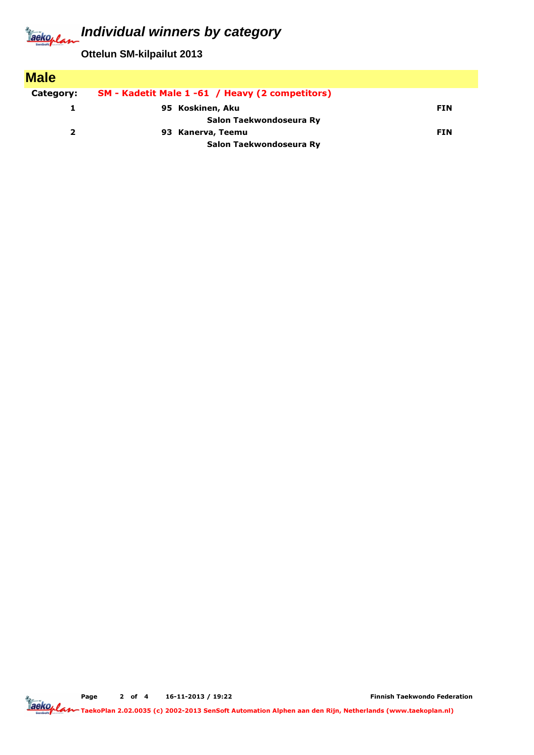## **Individual winners by category** Jackoplan

**Ottelun SM-kilpailut 2013**

| <b>Male</b>  |                                                 |            |
|--------------|-------------------------------------------------|------------|
| Category:    | SM - Kadetit Male 1 -61 / Heavy (2 competitors) |            |
|              | 95 Koskinen, Aku                                | <b>FIN</b> |
|              | Salon Taekwondoseura Ry                         |            |
| $\mathbf{2}$ | 93 Kanerva, Teemu                               | <b>FIN</b> |
|              | Salon Taekwondoseura Ry                         |            |

Page 2 of 4 16-11-2013 / 19:22

Finnish Taekwondo Federation

TaekoPlan 2.02.0035 (c) 2002-2013 SenSoft Automation Alphen aan den Rijn, Netherlands (www.taekoplan.nl)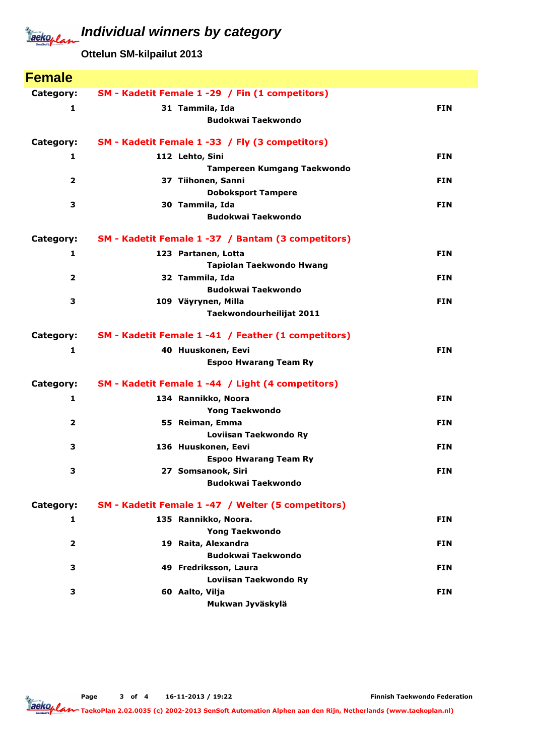## **Individual winners by category** Jackoplan

**Ottelun SM-kilpailut 2013**

| <b>Female</b>           |                                                     |            |
|-------------------------|-----------------------------------------------------|------------|
| Category:               | SM - Kadetit Female 1 -29 / Fin (1 competitors)     |            |
| $\mathbf{1}$            | 31 Tammila, Ida                                     | <b>FIN</b> |
|                         | <b>Budokwai Taekwondo</b>                           |            |
| Category:               | SM - Kadetit Female 1 -33 / Fly (3 competitors)     |            |
| 1                       | 112 Lehto, Sini                                     | <b>FIN</b> |
|                         | <b>Tampereen Kumgang Taekwondo</b>                  |            |
| $\overline{2}$          | 37 Tiihonen, Sanni                                  | <b>FIN</b> |
|                         | <b>Doboksport Tampere</b>                           |            |
| 3                       | 30 Tammila, Ida                                     | <b>FIN</b> |
|                         | <b>Budokwai Taekwondo</b>                           |            |
| Category:               | SM - Kadetit Female 1 -37 / Bantam (3 competitors)  |            |
| 1                       | 123 Partanen, Lotta                                 | <b>FIN</b> |
|                         | <b>Tapiolan Taekwondo Hwang</b>                     |            |
| $\overline{2}$          | 32 Tammila, Ida                                     | <b>FIN</b> |
|                         | <b>Budokwai Taekwondo</b>                           |            |
| 3                       | 109 Väyrynen, Milla                                 | <b>FIN</b> |
|                         | Taekwondourheilijat 2011                            |            |
| Category:               | SM - Kadetit Female 1 -41 / Feather (1 competitors) |            |
| $\mathbf{1}$            | 40 Huuskonen, Eevi                                  | <b>FIN</b> |
|                         | <b>Espoo Hwarang Team Ry</b>                        |            |
| Category:               | SM - Kadetit Female 1 -44 / Light (4 competitors)   |            |
| 1                       | 134 Rannikko, Noora                                 | <b>FIN</b> |
|                         | <b>Yong Taekwondo</b>                               |            |
| $\overline{2}$          | 55 Reiman, Emma                                     | <b>FIN</b> |
|                         | Loviisan Taekwondo Ry                               |            |
| 3                       | 136 Huuskonen, Eevi                                 | <b>FIN</b> |
|                         | <b>Espoo Hwarang Team Ry</b>                        |            |
| 3                       | 27 Somsanook, Siri<br><b>Budokwai Taekwondo</b>     | <b>FIN</b> |
|                         |                                                     |            |
| Category:               | SM - Kadetit Female 1 -47 / Welter (5 competitors)  |            |
| 1                       | 135 Rannikko, Noora.                                | <b>FIN</b> |
|                         | <b>Yong Taekwondo</b>                               |            |
| $\overline{\mathbf{2}}$ | 19 Raita, Alexandra                                 | <b>FIN</b> |
|                         | <b>Budokwai Taekwondo</b>                           |            |
| з                       | 49 Fredriksson, Laura                               | <b>FIN</b> |
|                         | Loviisan Taekwondo Ry                               |            |
| 3                       | 60 Aalto, Vilja<br>Mukwan Jyväskylä                 | <b>FIN</b> |
|                         |                                                     |            |

Finnish Taekwondo Federation

TaekoPlan 2.02.0035 (c) 2002-2013 SenSoft Automation Alphen aan den Rijn, Netherlands (www.taekoplan.nl)